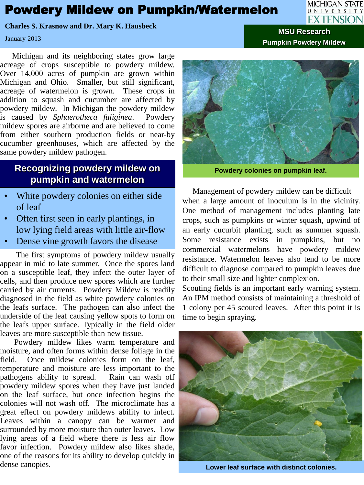## Powdery Mildew on Pumpkin/Watermelon

**Charles S. Krasnow and Dr. Mary K. Hausbeck**

January 2013

 Michigan and its neighboring states grow large acreage of crops susceptible to powdery mildew. Over 14,000 acres of pumpkin are grown within Michigan and Ohio. Smaller, but still significant, acreage of watermelon is grown. These crops in addition to squash and cucumber are affected by powdery mildew. In Michigan the powdery mildew is caused by *Sphaerotheca fuliginea*. Powdery mildew spores are airborne and are believed to come from either southern production fields or near-by cucumber greenhouses, which are affected by the same powdery mildew pathogen.

## **Recognizing powdery mildew on pumpkin and watermelon**

- White powdery colonies on either side of leaf
- Often first seen in early plantings, in low lying field areas with little air-flow
- Dense vine growth favors the disease

 The first symptoms of powdery mildew usually appear in mid to late summer. Once the spores land on a susceptible leaf, they infect the outer layer of cells, and then produce new spores which are further carried by air currents. Powdery Mildew is readily diagnosed in the field as white powdery colonies on the leafs surface. The pathogen can also infect the underside of the leaf causing yellow spots to form on the leafs upper surface. Typically in the field older leaves are more susceptible than new tissue.

 Powdery mildew likes warm temperature and moisture, and often forms within dense foliage in the field. Once mildew colonies form on the leaf, temperature and moisture are less important to the pathogens ability to spread. Rain can wash off powdery mildew spores when they have just landed on the leaf surface, but once infection begins the colonies will not wash off. The microclimate has a great effect on powdery mildews ability to infect. Leaves within a canopy can be warmer and surrounded by more moisture than outer leaves. Low lying areas of a field where there is less air flow favor infection. Powdery mildew also likes shade, one of the reasons for its ability to develop quickly in dense canopies. **Lower leaf surface with distinct colonies.**



**Powdery colonies on pumpkin leaf.**

. commercial watermelons have powdery mildew Management of powdery mildew can be difficult when a large amount of inoculum is in the vicinity. One method of management includes planting late crops, such as pumpkins or winter squash, upwind of an early cucurbit planting, such as summer squash. Some resistance exists in pumpkins, but no resistance. Watermelon leaves also tend to be more difficult to diagnose compared to pumpkin leaves due to their small size and lighter complexion.

Scouting fields is an important early warning system. An IPM method consists of maintaining a threshold of 1 colony per 45 scouted leaves. After this point it is time to begin spraying.





**MSU Research Pumpkin Powdery Mildew**